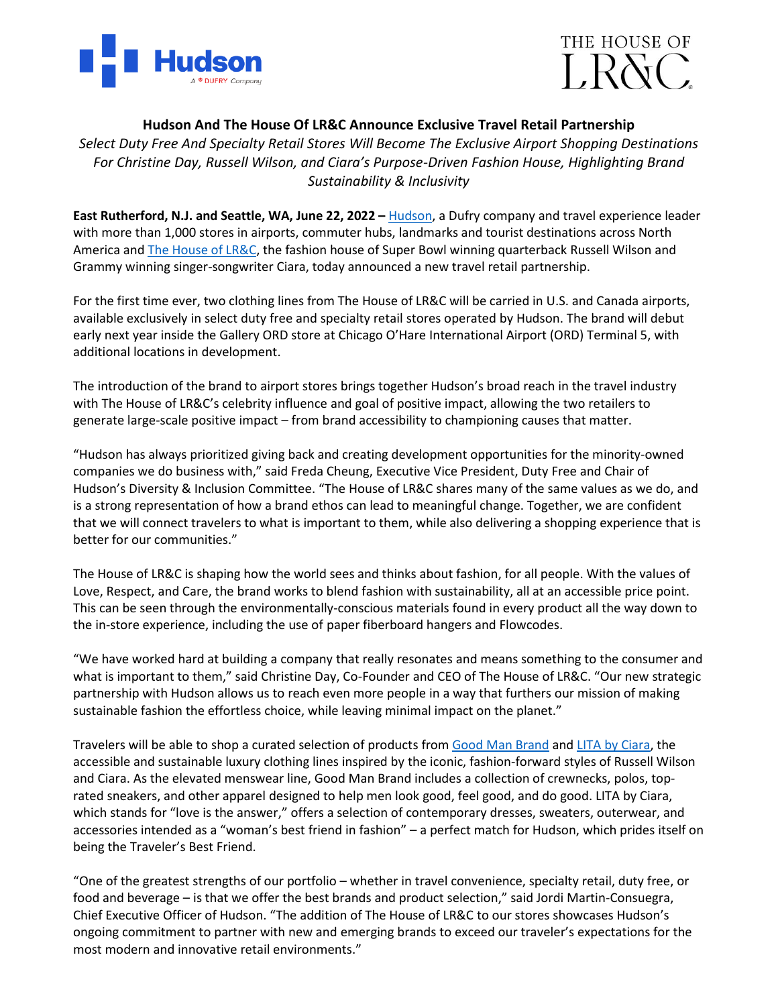



## **Hudson And The House Of LR&C Announce Exclusive Travel Retail Partnership**

*Select Duty Free And Specialty Retail Stores Will Become The Exclusive Airport Shopping Destinations For Christine Day, Russell Wilson, and Ciara's Purpose-Driven Fashion House, Highlighting Brand Sustainability & Inclusivity*

**East Rutherford, N.J. and Seattle, WA, June 22, 2022 –** [Hudson,](http://www.hudsongroup.com/) a Dufry company and travel experience leader with more than 1,000 stores in airports, commuter hubs, landmarks and tourist destinations across North America and [The House of LR&C,](https://thehouseoflrc.com/) the fashion house of Super Bowl winning quarterback Russell Wilson and Grammy winning singer-songwriter Ciara, today announced a new travel retail partnership.

For the first time ever, two clothing lines from The House of LR&C will be carried in U.S. and Canada airports, available exclusively in select duty free and specialty retail stores operated by Hudson. The brand will debut early next year inside the Gallery ORD store at Chicago O'Hare International Airport (ORD) Terminal 5, with additional locations in development.

The introduction of the brand to airport stores brings together Hudson's broad reach in the travel industry with The House of LR&C's celebrity influence and goal of positive impact, allowing the two retailers to generate large-scale positive impact – from brand accessibility to championing causes that matter.

"Hudson has always prioritized giving back and creating development opportunities for the minority-owned companies we do business with," said Freda Cheung, Executive Vice President, Duty Free and Chair of Hudson's Diversity & Inclusion Committee. "The House of LR&C shares many of the same values as we do, and is a strong representation of how a brand ethos can lead to meaningful change. Together, we are confident that we will connect travelers to what is important to them, while also delivering a shopping experience that is better for our communities."

The House of LR&C is shaping how the world sees and thinks about fashion, for all people. With the values of Love, Respect, and Care, the brand works to blend fashion with sustainability, all at an accessible price point. This can be seen through the environmentally-conscious materials found in every product all the way down to the in-store experience, including the use of paper fiberboard hangers and Flowcodes.

"We have worked hard at building a company that really resonates and means something to the consumer and what is important to them," said Christine Day, Co-Founder and CEO of The House of LR&C. "Our new strategic partnership with Hudson allows us to reach even more people in a way that furthers our mission of making sustainable fashion the effortless choice, while leaving minimal impact on the planet."

Travelers will be able to shop a curated selection of products from [Good Man Brand](https://thehouseoflrc.com/pages/good-man-brand) and [LITA by Ciara,](https://thehouseoflrc.com/pages/lita-by-ciara) the accessible and sustainable luxury clothing lines inspired by the iconic, fashion-forward styles of Russell Wilson and Ciara. As the elevated menswear line, Good Man Brand includes a collection of crewnecks, polos, toprated sneakers, and other apparel designed to help men look good, feel good, and do good. LITA by Ciara, which stands for "love is the answer," offers a selection of contemporary dresses, sweaters, outerwear, and accessories intended as a "woman's best friend in fashion" – a perfect match for Hudson, which prides itself on being the Traveler's Best Friend.

"One of the greatest strengths of our portfolio – whether in travel convenience, specialty retail, duty free, or food and beverage – is that we offer the best brands and product selection," said Jordi Martin-Consuegra, Chief Executive Officer of Hudson. "The addition of The House of LR&C to our stores showcases Hudson's ongoing commitment to partner with new and emerging brands to exceed our traveler's expectations for the most modern and innovative retail environments."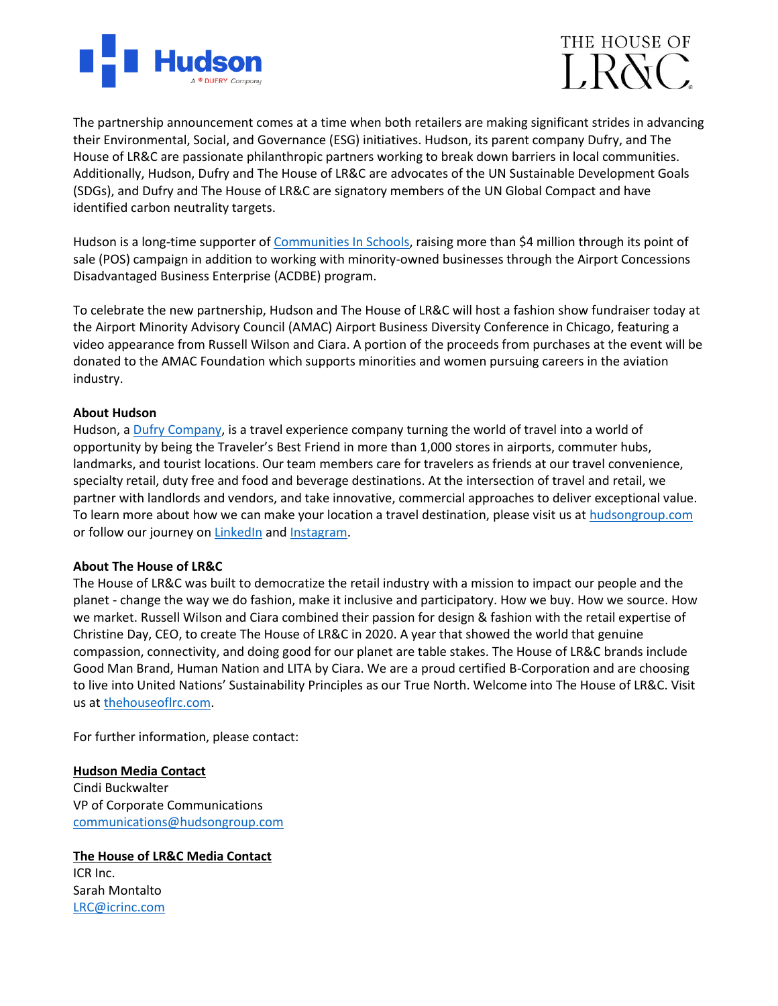



The partnership announcement comes at a time when both retailers are making significant strides in advancing their Environmental, Social, and Governance (ESG) initiatives. Hudson, its parent company Dufry, and The House of LR&C are passionate philanthropic partners working to break down barriers in local communities. Additionally, Hudson, Dufry and The House of LR&C are advocates of the UN Sustainable Development Goals (SDGs), and Dufry and The House of LR&C are signatory members of the UN Global Compact and have identified carbon neutrality targets.

Hudson is a long-time supporter o[f Communities](https://www.communitiesinschools.org/) In Schools, raising more than \$4 million through its point of sale (POS) campaign in addition to working with minority-owned businesses through the Airport Concessions Disadvantaged Business Enterprise (ACDBE) program.

To celebrate the new partnership, Hudson and The House of LR&C will host a fashion show fundraiser today at the Airport Minority Advisory Council (AMAC) Airport Business Diversity Conference in Chicago, featuring a video appearance from Russell Wilson and Ciara. A portion of the proceeds from purchases at the event will be donated to the AMAC Foundation which supports minorities and women pursuing careers in the aviation industry.

## **About Hudson**

Hudson, a [Dufry Company,](https://www.dufry.com/en) is a travel experience company turning the world of travel into a world of opportunity by being the Traveler's Best Friend in more than 1,000 stores in airports, commuter hubs, landmarks, and tourist locations. Our team members care for travelers as friends at our travel convenience, specialty retail, duty free and food and beverage destinations. At the intersection of travel and retail, we partner with landlords and vendors, and take innovative, commercial approaches to deliver exceptional value. To learn more about how we can make your location a travel destination, please visit us at [hudsongroup.com](http://www.hudsongroup.com/) or follow our journey on [LinkedIn](https://www.linkedin.com/company/hudson-group/) and [Instagram.](https://www.instagram.com/hudsontbf/)

## **About The House of LR&C**

The House of LR&C was built to democratize the retail industry with a mission to impact our people and the planet - change the way we do fashion, make it inclusive and participatory. How we buy. How we source. How we market. Russell Wilson and Ciara combined their passion for design & fashion with the retail expertise of Christine Day, CEO, to create The House of LR&C in 2020. A year that showed the world that genuine compassion, connectivity, and doing good for our planet are table stakes. The House of LR&C brands include Good Man Brand, Human Nation and LITA by Ciara. We are a proud certified B-Corporation and are choosing to live into United Nations' Sustainability Principles as our True North. Welcome into The House of LR&C. Visit us a[t thehouseoflrc.com.](https://thehouseoflrc.com/)

For further information, please contact:

## **Hudson Media Contact**

Cindi Buckwalter VP of Corporate Communications [communications@hudsongroup.com](mailto:communications@hudsongroup.com)

**The House of LR&C Media Contact** ICR Inc. Sarah Montalto [LRC@icrinc.com](mailto:LRC@icrinc.com)